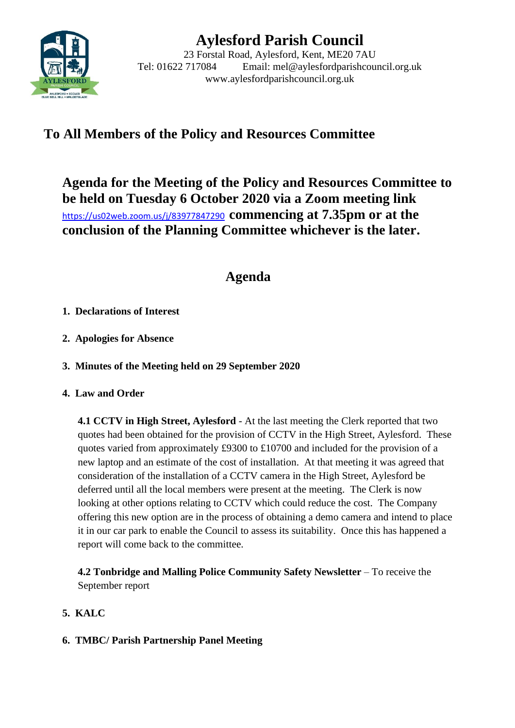

# **Aylesford Parish Council**

23 Forstal Road, Aylesford, Kent, ME20 7AU Tel: 01622 717084 Email: mel@aylesfordparishcouncil.org.uk www.aylesfordparishcouncil.org.uk

## **To All Members of the Policy and Resources Committee**

**Agenda for the Meeting of the Policy and Resources Committee to be held on Tuesday 6 October 2020 via a Zoom meeting link** <https://us02web.zoom.us/j/83977847290>**commencing at 7.35pm or at the conclusion of the Planning Committee whichever is the later.**

### **Agenda**

- **1. Declarations of Interest**
- **2. Apologies for Absence**
- **3. Minutes of the Meeting held on 29 September 2020**
- **4. Law and Order**

**4.1 CCTV in High Street, Aylesford** - At the last meeting the Clerk reported that two quotes had been obtained for the provision of CCTV in the High Street, Aylesford. These quotes varied from approximately £9300 to £10700 and included for the provision of a new laptop and an estimate of the cost of installation. At that meeting it was agreed that consideration of the installation of a CCTV camera in the High Street, Aylesford be deferred until all the local members were present at the meeting. The Clerk is now looking at other options relating to CCTV which could reduce the cost. The Company offering this new option are in the process of obtaining a demo camera and intend to place it in our car park to enable the Council to assess its suitability. Once this has happened a report will come back to the committee.

**4.2 Tonbridge and Malling Police Community Safety Newsletter** – To receive the September report

- **5. KALC**
- **6. TMBC/ Parish Partnership Panel Meeting**